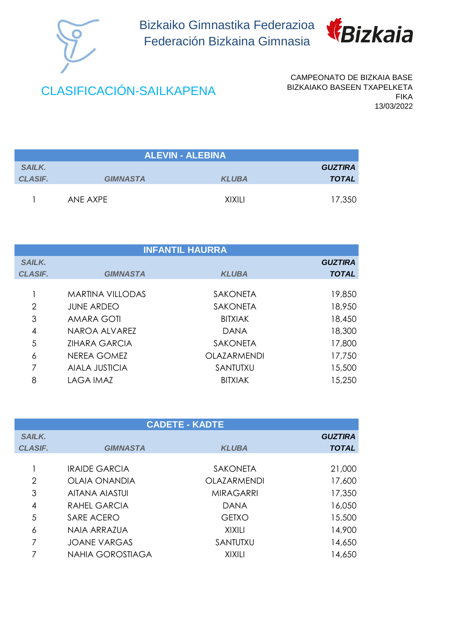

Bizkaiko Gimnastika Federazioa Federación Bizkaina Gimnasia



## CLASIFICACIÓN-SAILKAPENA

CAMPEONATO DE BIZKAIA BASE BIZKAIAKO BASEEN TXAPELKETA FIKA 13/03/2022

| <b>ALEVIN - ALEBINA</b> |                 |              |                |
|-------------------------|-----------------|--------------|----------------|
| <b>SAILK.</b>           |                 |              | <b>GUZTIRA</b> |
| <b>CLASIF.</b>          | <b>GIMNASTA</b> | <b>KLUBA</b> | <b>TOTAL</b>   |
|                         | ANF AXPF        | XIXILI       | 17,350         |

| <b>INFANTIL HAURRA</b> |                         |                    |                |
|------------------------|-------------------------|--------------------|----------------|
| <b>SAILK.</b>          |                         |                    | <b>GUZTIRA</b> |
| <b>CLASIF.</b>         | <b>GIMNASTA</b>         | <b>KLUBA</b>       | <b>TOTAL</b>   |
|                        | <b>MARTINA VILLODAS</b> | <b>SAKONETA</b>    | 19,850         |
| 2                      | <b>JUNE ARDEO</b>       | <b>SAKONETA</b>    | 18,950         |
| 3                      | AMARA GOTI              | <b>BITXIAK</b>     | 18,450         |
| 4                      | NAROA ALVAREZ           | <b>DANA</b>        | 18,300         |
| 5                      | <b>ZIHARA GARCIA</b>    | <b>SAKONETA</b>    | 17,800         |
| 6                      | NEREA GOMEZ             | <b>OLAZARMENDI</b> | 17,750         |
| 7                      | <b>AIALA JUSTICIA</b>   | SANTUTXU           | 15,500         |
| 8                      | LAGA IMAZ               | <b>BITXIAK</b>     | 15,250         |

| <b>CADETE - KADTE</b> |                         |                  |                |
|-----------------------|-------------------------|------------------|----------------|
| <b>SAILK.</b>         |                         |                  | <b>GUZTIRA</b> |
| <b>CLASIF.</b>        | <b>GIMNASTA</b>         | <b>KLUBA</b>     | <b>TOTAL</b>   |
|                       |                         |                  |                |
|                       | <b>IRAIDE GARCIA</b>    | <b>SAKONETA</b>  | 21,000         |
| $\overline{2}$        | OLAIA ONANDIA           | OLAZARMENDI      | 17,600         |
| 3                     | AITANA AIASTUI          | <b>MIRAGARRI</b> | 17,350         |
| 4                     | RAHEL GARCIA            | <b>DANA</b>      | 16,050         |
| 5                     | SARE ACERO              | <b>GETXO</b>     | 15,500         |
| 6                     | NAIA ARRAZUA            | <b>XIXILI</b>    | 14,900         |
| 7                     | <b>JOANE VARGAS</b>     | SANTUTXU         | 14,650         |
|                       | <b>NAHIA GOROSTIAGA</b> | XIXILI           | 14,650         |